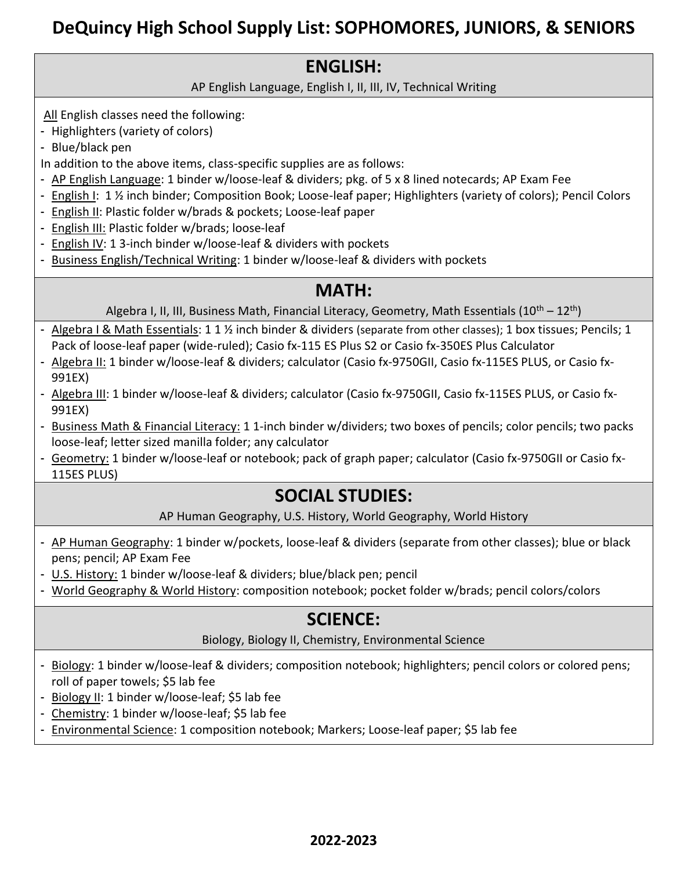# **DeQuincy High School Supply List: SOPHOMORES, JUNIORS, & SENIORS**

#### **ENGLISH:**

AP English Language, English I, II, III, IV, Technical Writing

All English classes need the following:

- Highlighters (variety of colors)

- Blue/black pen

In addition to the above items, class-specific supplies are as follows:

- AP English Language: 1 binder w/loose-leaf & dividers; pkg. of 5 x 8 lined notecards; AP Exam Fee
- English I: 1 ½ inch binder; Composition Book; Loose-leaf paper; Highlighters (variety of colors); Pencil Colors
- English II: Plastic folder w/brads & pockets; Loose-leaf paper
- English III: Plastic folder w/brads; loose-leaf
- English IV: 1 3-inch binder w/loose-leaf & dividers with pockets
- Business English/Technical Writing: 1 binder w/loose-leaf & dividers with pockets

#### **MATH:**

Algebra I, II, III, Business Math, Financial Literacy, Geometry, Math Essentials  $(10^{th} - 12^{th})$ 

- Algebra I & Math Essentials: 1 1 ½ inch binder & dividers (separate from other classes); 1 box tissues; Pencils; 1 Pack of loose-leaf paper (wide-ruled); Casio fx-115 ES Plus S2 or Casio fx-350ES Plus Calculator
- Algebra II: 1 binder w/loose-leaf & dividers; calculator (Casio fx-9750GII, Casio fx-115ES PLUS, or Casio fx-991EX)
- Algebra III: 1 binder w/loose-leaf & dividers; calculator (Casio fx-9750GII, Casio fx-115ES PLUS, or Casio fx-991EX)
- Business Math & Financial Literacy: 1 1-inch binder w/dividers; two boxes of pencils; color pencils; two packs loose-leaf; letter sized manilla folder; any calculator
- Geometry: 1 binder w/loose-leaf or notebook; pack of graph paper; calculator (Casio fx-9750GII or Casio fx-115ES PLUS)

## **SOCIAL STUDIES:**

AP Human Geography, U.S. History, World Geography, World History

- AP Human Geography: 1 binder w/pockets, loose-leaf & dividers (separate from other classes); blue or black pens; pencil; AP Exam Fee
- U.S. History: 1 binder w/loose-leaf & dividers; blue/black pen; pencil
- World Geography & World History: composition notebook; pocket folder w/brads; pencil colors/colors

### **SCIENCE:**

Biology, Biology II, Chemistry, Environmental Science

- Biology: 1 binder w/loose-leaf & dividers; composition notebook; highlighters; pencil colors or colored pens; roll of paper towels; \$5 lab fee
- Biology II: 1 binder w/loose-leaf; \$5 lab fee
- Chemistry: 1 binder w/loose-leaf; \$5 lab fee
- Environmental Science: 1 composition notebook; Markers; Loose-leaf paper; \$5 lab fee